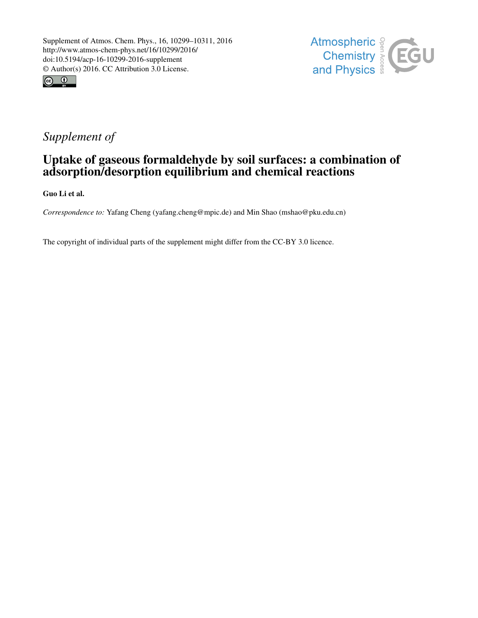



# *Supplement of*

## Uptake of gaseous formaldehyde by soil surfaces: a combination of adsorption/desorption equilibrium and chemical reactions

Guo Li et al.

*Correspondence to:* Yafang Cheng (yafang.cheng@mpic.de) and Min Shao (mshao@pku.edu.cn)

The copyright of individual parts of the supplement might differ from the CC-BY 3.0 licence.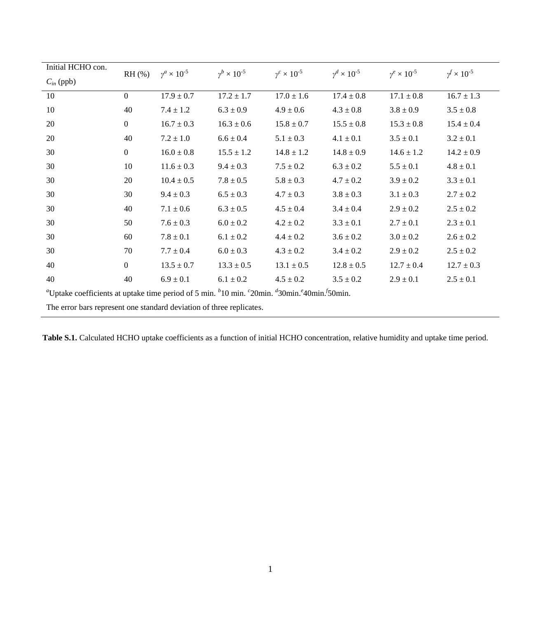| Initial HCHO con.                                                                               | $RH$ (%) | $\gamma^a \times 10^{-5}$ | $\gamma^b \times 10^{-5}$ | $\gamma^c \times 10^{-5}$ | $\gamma^d \times 10^{-5}$ | $\gamma^e \times 10^{-5}$ | $v^f \times 10^{-5}$ |
|-------------------------------------------------------------------------------------------------|----------|---------------------------|---------------------------|---------------------------|---------------------------|---------------------------|----------------------|
| $C_{in}$ (ppb)                                                                                  |          |                           |                           |                           |                           |                           |                      |
| 10                                                                                              | $\Omega$ | $17.9 \pm 0.7$            | $17.2 \pm 1.7$            | $17.0 \pm 1.6$            | $17.4 \pm 0.8$            | $17.1 \pm 0.8$            | $16.7 \pm 1.3$       |
| 10                                                                                              | 40       | $7.4 \pm 1.2$             | $6.3 \pm 0.9$             | $4.9 \pm 0.6$             | $4.3 \pm 0.8$             | $3.8 \pm 0.9$             | $3.5 \pm 0.8$        |
| 20                                                                                              | $\Omega$ | $16.7 \pm 0.3$            | $16.3 \pm 0.6$            | $15.8 \pm 0.7$            | $15.5 \pm 0.8$            | $15.3 \pm 0.8$            | $15.4 \pm 0.4$       |
| 20                                                                                              | 40       | $7.2 \pm 1.0$             | $6.6 \pm 0.4$             | $5.1 \pm 0.3$             | $4.1 \pm 0.1$             | $3.5 \pm 0.1$             | $3.2 \pm 0.1$        |
| 30                                                                                              | $\Omega$ | $16.0 \pm 0.8$            | $15.5 \pm 1.2$            | $14.8 \pm 1.2$            | $14.8 \pm 0.9$            | $14.6 \pm 1.2$            | $14.2 \pm 0.9$       |
| 30                                                                                              | 10       | $11.6 \pm 0.3$            | $9.4 \pm 0.3$             | $7.5 \pm 0.2$             | $6.3 \pm 0.2$             | $5.5 \pm 0.1$             | $4.8 \pm 0.1$        |
| 30                                                                                              | 20       | $10.4 \pm 0.5$            | $7.8 \pm 0.5$             | $5.8 \pm 0.3$             | $4.7 \pm 0.2$             | $3.9 \pm 0.2$             | $3.3 \pm 0.1$        |
| 30                                                                                              | 30       | $9.4 \pm 0.3$             | $6.5 \pm 0.3$             | $4.7 \pm 0.3$             | $3.8 \pm 0.3$             | $3.1 \pm 0.3$             | $2.7 \pm 0.2$        |
| 30                                                                                              | 40       | $7.1 \pm 0.6$             | $6.3 \pm 0.5$             | $4.5 \pm 0.4$             | $3.4 \pm 0.4$             | $2.9 \pm 0.2$             | $2.5 \pm 0.2$        |
| 30                                                                                              | 50       | $7.6 \pm 0.3$             | $6.0 \pm 0.2$             | $4.2 \pm 0.2$             | $3.3 \pm 0.1$             | $2.7 \pm 0.1$             | $2.3 \pm 0.1$        |
| 30                                                                                              | 60       | $7.8 \pm 0.1$             | $6.1 \pm 0.2$             | $4.4 \pm 0.2$             | $3.6 \pm 0.2$             | $3.0 \pm 0.2$             | $2.6 \pm 0.2$        |
| 30                                                                                              | 70       | $7.7 \pm 0.4$             | $6.0 \pm 0.3$             | $4.3 \pm 0.2$             | $3.4 \pm 0.2$             | $2.9 \pm 0.2$             | $2.5 \pm 0.2$        |
| 40                                                                                              | $\Omega$ | $13.5 \pm 0.7$            | $13.3 \pm 0.5$            | $13.1 \pm 0.5$            | $12.8 \pm 0.5$            | $12.7 \pm 0.4$            | $12.7 \pm 0.3$       |
| 40                                                                                              | 40       | $6.9 \pm 0.1$             | $6.1 \pm 0.2$             | $4.5 \pm 0.2$             | $3.5 \pm 0.2$             | $2.9 \pm 0.1$             | $2.5 \pm 0.1$        |
| "Uptake coefficients at uptake time period of 5 min. $b$ 10 min. "20min. "30min." 40min. 50min. |          |                           |                           |                           |                           |                           |                      |
| The error bars represent one standard deviation of three replicates.                            |          |                           |                           |                           |                           |                           |                      |

Table S.1. Calculated HCHO uptake coefficients as a function of initial HCHO concentration, relative humidity and uptake time period.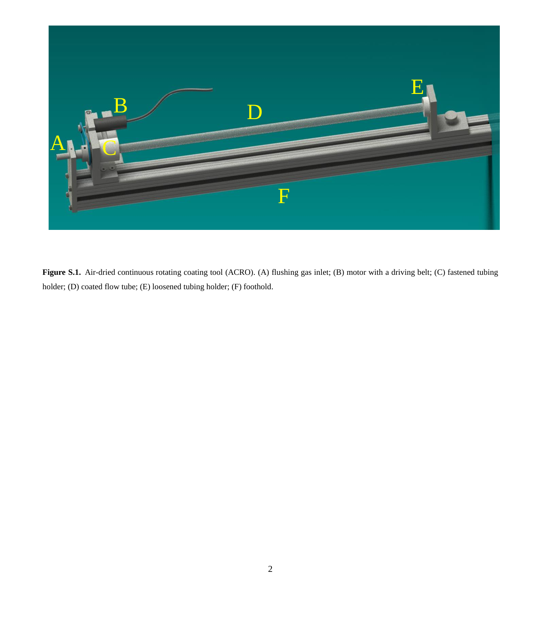

Figure S.1. Air-dried continuous rotating coating tool (ACRO). (A) flushing gas inlet; (B) motor with a driving belt; (C) fastened tubing holder; (D) coated flow tube; (E) loosened tubing holder; (F) foothold.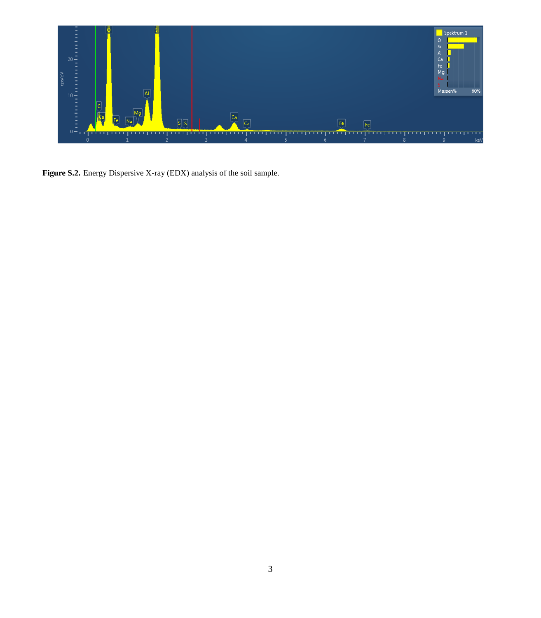

Figure S.2. Energy Dispersive X-ray (EDX) analysis of the soil sample.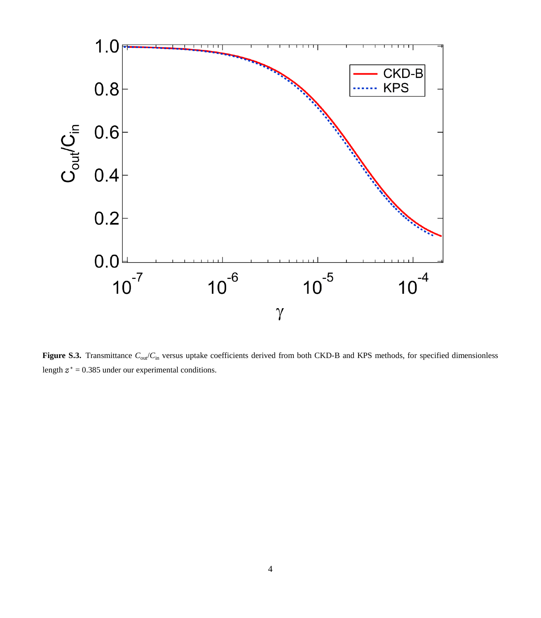

Figure S.3. Transmittance  $C_{\text{out}}/C_{\text{in}}$  versus uptake coefficients derived from both CKD-B and KPS methods, for specified dimensionless length  $z^* = 0.385$  under our experimental conditions.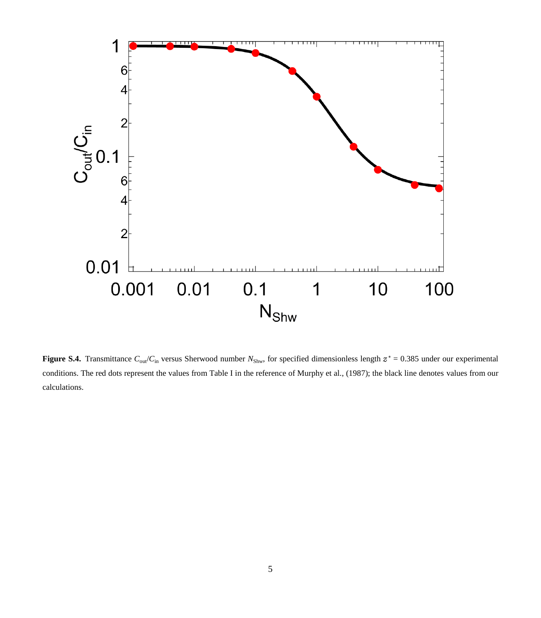

**Figure S.4.** Transmittance  $C_{\text{out}}/C_{\text{in}}$  versus Sherwood number  $N_{\text{Shw}}$ , for specified dimensionless length  $z^* = 0.385$  under our experimental conditions. The red dots represent the values from Table I in the reference of Murphy et al., (1987); the black line denotes values from our calculations.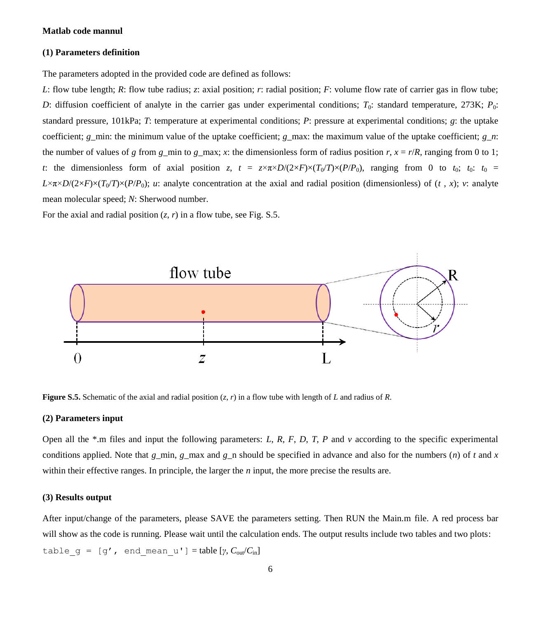#### **(1) Parameters definition**

The parameters adopted in the provided code are defined as follows:

*L*: flow tube length; *R*: flow tube radius; *z*: axial position; *r*: radial position; *F*: volume flow rate of carrier gas in flow tube; *D*: diffusion coefficient of analyte in the carrier gas under experimental conditions;  $T_0$ : standard temperature, 273K;  $P_0$ : standard pressure, 101kPa; *T*: temperature at experimental conditions; *P*: pressure at experimental conditions; *g*: the uptake coefficient; *g*\_min: the minimum value of the uptake coefficient; *g*\_max: the maximum value of the uptake coefficient; *g*\_*n*: the number of values of *g* from  $g_{\text{min}}$  to  $g_{\text{max}}$ ; *x*: the dimensionless form of radius position *r*,  $x = r/R$ , ranging from 0 to 1; *t*: the dimensionless form of axial position *z*,  $t = z \times \pi \times D/(2 \times F) \times (T_0/T) \times (P/P_0)$ , ranging from 0 to  $t_0$ ;  $t_0$ :  $t_0 =$  $L \times \pi \times D/(2 \times F) \times (T_0/T) \times (P/P_0)$ ; *u*: analyte concentration at the axial and radial position (dimensionless) of (*t*, *x*); *v*: analyte mean molecular speed; *N*: Sherwood number.

For the axial and radial position  $(z, r)$  in a flow tube, see Fig. S.5.



**Figure S.5.** Schematic of the axial and radial position (*z*, *r*) in a flow tube with length of *L* and radius of *R*.

#### **(2) Parameters input**

Open all the  $*$ .m files and input the following parameters: *L*, *R*, *F*, *D*, *T*, *P* and  $\nu$  according to the specific experimental conditions applied. Note that *g*\_min, *g*\_max and *g*\_n should be specified in advance and also for the numbers (*n*) of *t* and *x* within their effective ranges. In principle, the larger the *n* input, the more precise the results are.

#### **(3) Results output**

After input/change of the parameters, please SAVE the parameters setting. Then RUN the Main.m file. A red process bar will show as the code is running. Please wait until the calculation ends. The output results include two tables and two plots:  $table_g = [g', end_mean_u'] = table [ \gamma, C_{out}/C_{in} ]$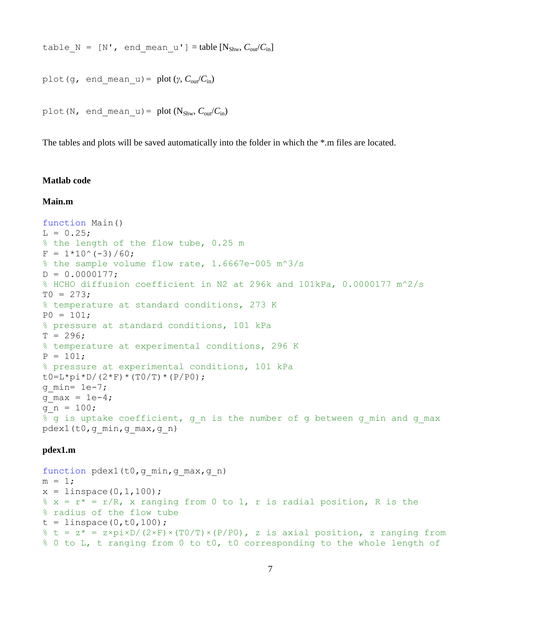table N =  $[N'$ , end mean u'] = table  $[N_{\text{Shw}}, C_{\text{out}}/C_{\text{in}}]$ 

plot(q, end mean u) = plot( $\gamma$ ,  $C_{\text{out}}/C_{\text{in}}$ )

plot(N, end mean u) = plot( $N_{Shw}$ ,  $C_{out}/C_{in}$ )

The tables and plots will be saved automatically into the folder in which the \*.m files are located.

#### **Matlab code**

#### **Main.m**

```
function Main()
L = 0.25;
% the length of the flow tube, 0.25 m
F = 1*10^(-3)/60;% the sample volume flow rate, 1.6667e-005 m^3/s
D = 0.0000177;% HCHO diffusion coefficient in N2 at 296k and 101kPa, 0.0000177 m^2/s
TO = 273;% temperature at standard conditions, 273 K
P0 = 101:
% pressure at standard conditions, 101 kPa
T = 296:
% temperature at experimental conditions, 296 K
P = 101;% pressure at experimental conditions, 101 kPa
t0=L*pi*D/(2*F)*(T0/T)*(P/P0);q min= 1e-7;
q max = 1e-4;
q n = 100;
% q is uptake coefficient, q n is the number of q between q min and q max
pdex1(t0,g_min,g_max,g_n)
```
#### **pdex1.m**

```
function pdex1(t0,g min,g max,g n)
m = 1;x = 1inspace(0,1,100);
% x = r* = r/R, x ranging from 0 to 1, r is radial position, R is the
% radius of the flow tube
t = 1inspace(0,t0,100);
% t = z^* = z \times \frac{p^2}{2} = \frac{p^2}{2} (2×F) × (T0/T) × (P/P0), z is axial position, z ranging from
% 0 to L, t ranging from 0 to t0, t0 corresponding to the whole length of
```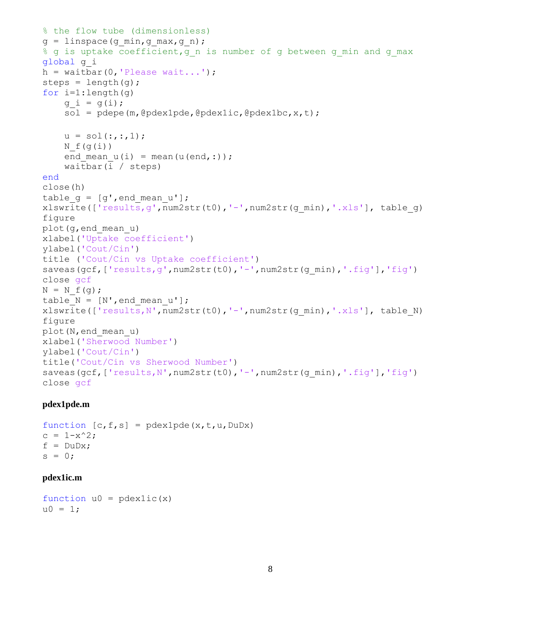```
% the flow tube (dimensionless)
q = \text{linspace}(q \text{ min},q \text{ max},q \text{ n});% g is uptake coefficient,g n is number of g between g min and g max
global g_i
h = \text{waitbar}(0, 'Please wait...');
steps = length(g);
for i=1: length(q)q i = q(i);sol = pdepe(m, @pdex1pde, @pdex1ic, @pdex1bc, x, t);u = sol(:,:,1);N f(q(i))end mean u(i) = mean(u(end,:));
     waitbar(i / steps)
end
close(h) 
table q = [q', end \text{ mean } u'];
xlswrite(['results,q',num2str(t0),'-',num2str(q,min),'.xls'], table q)
figure
plot(g,end_mean_u)
xlabel('Uptake coefficient')
ylabel('Cout/Cin')
title ('Cout/Cin vs Uptake coefficient')
saveas(gcf,['results,g',num2str(t0),'-',num2str(g_min),'.fig'],'fig')
close gcf
N = N f(q);table N = [N', end mean u'];
xlswrite(['results,N',num2str(t0),'-',num2str(q,min),'.xls'], table N)
figure
plot(N,end_mean_u)
xlabel('Sherwood Number')
ylabel('Cout/Cin')
title('Cout/Cin vs Sherwood Number')
saveas(qcf,['results,N',num2str(t0),'-',num2str(q_min),'.fiq'],'fiq')
close gcf
```
#### **pdex1pde.m**

```
function [c, f, s] = \text{p}\text{d}\text{exp}\text{d}\text{e}(x, t, u, \text{D}\text{u}\text{D}x)c = 1-x^2;f = DuDx;s = 0:
```
#### **pdex1ic.m**

```
function u0 = pdexlic(x)
u0 = 1;
```